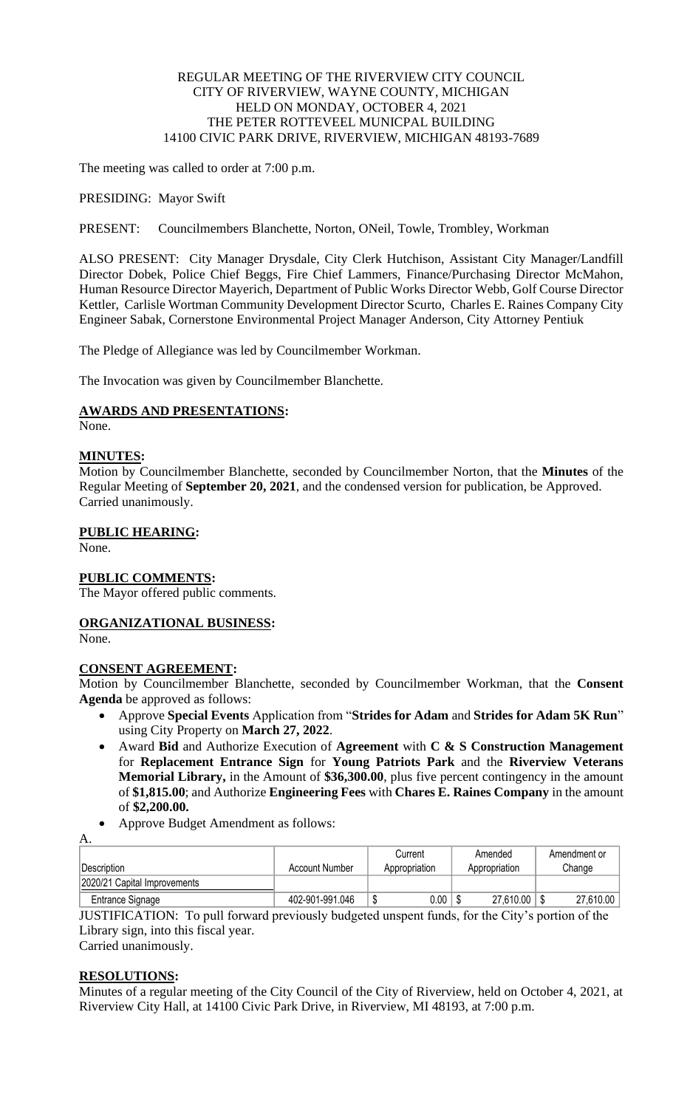# REGULAR MEETING OF THE RIVERVIEW CITY COUNCIL CITY OF RIVERVIEW, WAYNE COUNTY, MICHIGAN HELD ON MONDAY, OCTOBER 4, 2021 THE PETER ROTTEVEEL MUNICPAL BUILDING 14100 CIVIC PARK DRIVE, RIVERVIEW, MICHIGAN 48193-7689

The meeting was called to order at 7:00 p.m.

PRESIDING: Mayor Swift

PRESENT: Councilmembers Blanchette, Norton, ONeil, Towle, Trombley, Workman

ALSO PRESENT: City Manager Drysdale, City Clerk Hutchison, Assistant City Manager/Landfill Director Dobek, Police Chief Beggs, Fire Chief Lammers, Finance/Purchasing Director McMahon, Human Resource Director Mayerich, Department of Public Works Director Webb, Golf Course Director Kettler, Carlisle Wortman Community Development Director Scurto, Charles E. Raines Company City Engineer Sabak, Cornerstone Environmental Project Manager Anderson, City Attorney Pentiuk

The Pledge of Allegiance was led by Councilmember Workman.

The Invocation was given by Councilmember Blanchette.

# **AWARDS AND PRESENTATIONS:**

None.

# **MINUTES:**

Motion by Councilmember Blanchette, seconded by Councilmember Norton, that the **Minutes** of the Regular Meeting of **September 20, 2021**, and the condensed version for publication, be Approved. Carried unanimously.

# **PUBLIC HEARING:**

None.

# **PUBLIC COMMENTS:**

The Mayor offered public comments.

# **ORGANIZATIONAL BUSINESS:**

None.

# **CONSENT AGREEMENT:**

Motion by Councilmember Blanchette, seconded by Councilmember Workman, that the **Consent Agenda** be approved as follows:

- Approve **Special Events** Application from "**Strides for Adam** and **Strides for Adam 5K Run**" using City Property on **March 27, 2022**.
- Award **Bid** and Authorize Execution of **Agreement** with **C & S Construction Management** for **Replacement Entrance Sign** for **Young Patriots Park** and the **Riverview Veterans Memorial Library,** in the Amount of **\$36,300.00**, plus five percent contingency in the amount of **\$1,815.00**; and Authorize **Engineering Fees** with **Chares E. Raines Company** in the amount of **\$2,200.00.**
- Approve Budget Amendment as follows:

A.

|                              |                 | Current        | Amended       | Amendment or |
|------------------------------|-----------------|----------------|---------------|--------------|
| <b>Description</b>           | Account Number  | Appropriation  | Appropriation | Change       |
| 2020/21 Capital Improvements |                 |                |               |              |
| Entrance Signage             | 402-901-991.046 | $0.00\,$<br>۰D | 27,610.00     | 27,610.00    |

JUSTIFICATION: To pull forward previously budgeted unspent funds, for the City's portion of the Library sign, into this fiscal year.

Carried unanimously.

# **RESOLUTIONS:**

Minutes of a regular meeting of the City Council of the City of Riverview, held on October 4, 2021, at Riverview City Hall, at 14100 Civic Park Drive, in Riverview, MI 48193, at 7:00 p.m.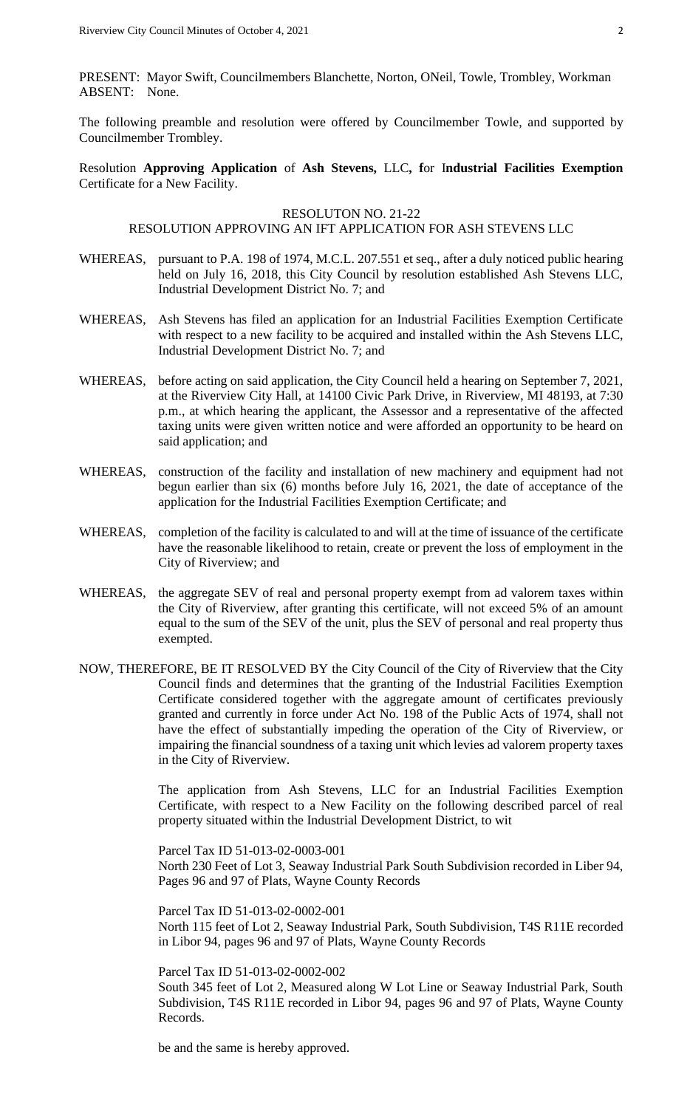PRESENT: Mayor Swift, Councilmembers Blanchette, Norton, ONeil, Towle, Trombley, Workman ABSENT: None.

The following preamble and resolution were offered by Councilmember Towle, and supported by Councilmember Trombley.

Resolution **Approving Application** of **Ash Stevens,** LLC**, f**or I**ndustrial Facilities Exemption**  Certificate for a New Facility.

#### RESOLUTON NO. 21-22

#### RESOLUTION APPROVING AN IFT APPLICATION FOR ASH STEVENS LLC

- WHEREAS, pursuant to P.A. 198 of 1974, M.C.L. 207.551 et seq., after a duly noticed public hearing held on July 16, 2018, this City Council by resolution established Ash Stevens LLC, Industrial Development District No. 7; and
- WHEREAS, Ash Stevens has filed an application for an Industrial Facilities Exemption Certificate with respect to a new facility to be acquired and installed within the Ash Stevens LLC, Industrial Development District No. 7; and
- WHEREAS, before acting on said application, the City Council held a hearing on September 7, 2021, at the Riverview City Hall, at 14100 Civic Park Drive, in Riverview, MI 48193, at 7:30 p.m., at which hearing the applicant, the Assessor and a representative of the affected taxing units were given written notice and were afforded an opportunity to be heard on said application; and
- WHEREAS, construction of the facility and installation of new machinery and equipment had not begun earlier than six (6) months before July 16, 2021, the date of acceptance of the application for the Industrial Facilities Exemption Certificate; and
- WHEREAS, completion of the facility is calculated to and will at the time of issuance of the certificate have the reasonable likelihood to retain, create or prevent the loss of employment in the City of Riverview; and
- WHEREAS, the aggregate SEV of real and personal property exempt from ad valorem taxes within the City of Riverview, after granting this certificate, will not exceed 5% of an amount equal to the sum of the SEV of the unit, plus the SEV of personal and real property thus exempted.
- NOW, THEREFORE, BE IT RESOLVED BY the City Council of the City of Riverview that the City Council finds and determines that the granting of the Industrial Facilities Exemption Certificate considered together with the aggregate amount of certificates previously granted and currently in force under Act No. 198 of the Public Acts of 1974, shall not have the effect of substantially impeding the operation of the City of Riverview, or impairing the financial soundness of a taxing unit which levies ad valorem property taxes in the City of Riverview.

The application from Ash Stevens, LLC for an Industrial Facilities Exemption Certificate, with respect to a New Facility on the following described parcel of real property situated within the Industrial Development District, to wit

Parcel Tax ID 51-013-02-0003-001 North 230 Feet of Lot 3, Seaway Industrial Park South Subdivision recorded in Liber 94, Pages 96 and 97 of Plats, Wayne County Records

Parcel Tax ID 51-013-02-0002-001 North 115 feet of Lot 2, Seaway Industrial Park, South Subdivision, T4S R11E recorded in Libor 94, pages 96 and 97 of Plats, Wayne County Records

Parcel Tax ID 51-013-02-0002-002

South 345 feet of Lot 2, Measured along W Lot Line or Seaway Industrial Park, South Subdivision, T4S R11E recorded in Libor 94, pages 96 and 97 of Plats, Wayne County Records.

be and the same is hereby approved.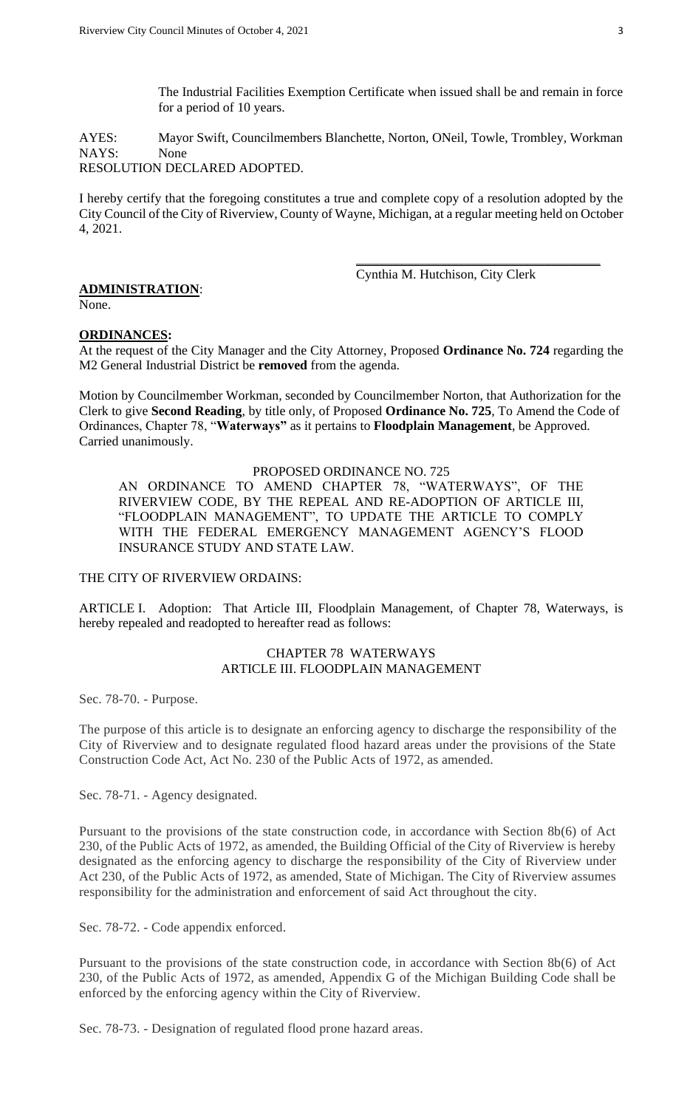The Industrial Facilities Exemption Certificate when issued shall be and remain in force for a period of 10 years.

AYES: Mayor Swift, Councilmembers Blanchette, Norton, ONeil, Towle, Trombley, Workman NAYS: None RESOLUTION DECLARED ADOPTED.

I hereby certify that the foregoing constitutes a true and complete copy of a resolution adopted by the City Council of the City of Riverview, County of Wayne, Michigan, at a regular meeting held on October 4, 2021.

Cynthia M. Hutchison, City Clerk

\_\_\_\_\_\_\_\_\_\_\_\_\_\_\_\_\_\_\_\_\_\_\_\_\_\_\_\_\_\_\_\_\_\_\_\_\_

# **ADMINISTRATION**:

None.

# **ORDINANCES:**

At the request of the City Manager and the City Attorney, Proposed **Ordinance No. 724** regarding the M2 General Industrial District be **removed** from the agenda.

Motion by Councilmember Workman, seconded by Councilmember Norton, that Authorization for the Clerk to give **Second Reading**, by title only, of Proposed **Ordinance No. 725**, To Amend the Code of Ordinances, Chapter 78, "**Waterways"** as it pertains to **Floodplain Management**, be Approved. Carried unanimously.

# PROPOSED ORDINANCE NO. 725

AN ORDINANCE TO AMEND CHAPTER 78, "WATERWAYS", OF THE RIVERVIEW CODE, BY THE REPEAL AND RE-ADOPTION OF ARTICLE III, "FLOODPLAIN MANAGEMENT", TO UPDATE THE ARTICLE TO COMPLY WITH THE FEDERAL EMERGENCY MANAGEMENT AGENCY'S FLOOD INSURANCE STUDY AND STATE LAW.

# THE CITY OF RIVERVIEW ORDAINS:

ARTICLE I. Adoption: That Article III, Floodplain Management, of Chapter 78, Waterways, is hereby repealed and readopted to hereafter read as follows:

### CHAPTER 78 WATERWAYS ARTICLE III. FLOODPLAIN MANAGEMENT

Sec. 78-70. - Purpose.

The purpose of this article is to designate an enforcing agency to discharge the responsibility of the City of Riverview and to designate regulated flood hazard areas under the provisions of the State Construction Code Act, Act No. 230 of the Public Acts of 1972, as amended.

Sec. 78-71. - Agency designated.

Pursuant to the provisions of the state construction code, in accordance with Section 8b(6) of Act 230, of the Public Acts of 1972, as amended, the Building Official of the City of Riverview is hereby designated as the enforcing agency to discharge the responsibility of the City of Riverview under Act 230, of the Public Acts of 1972, as amended, State of Michigan. The City of Riverview assumes responsibility for the administration and enforcement of said Act throughout the city.

Sec. 78-72. - Code appendix enforced.

Pursuant to the provisions of the state construction code, in accordance with Section 8b(6) of Act 230, of the Public Acts of 1972, as amended, Appendix G of the Michigan Building Code shall be enforced by the enforcing agency within the City of Riverview.

Sec. 78-73. - Designation of regulated flood prone hazard areas.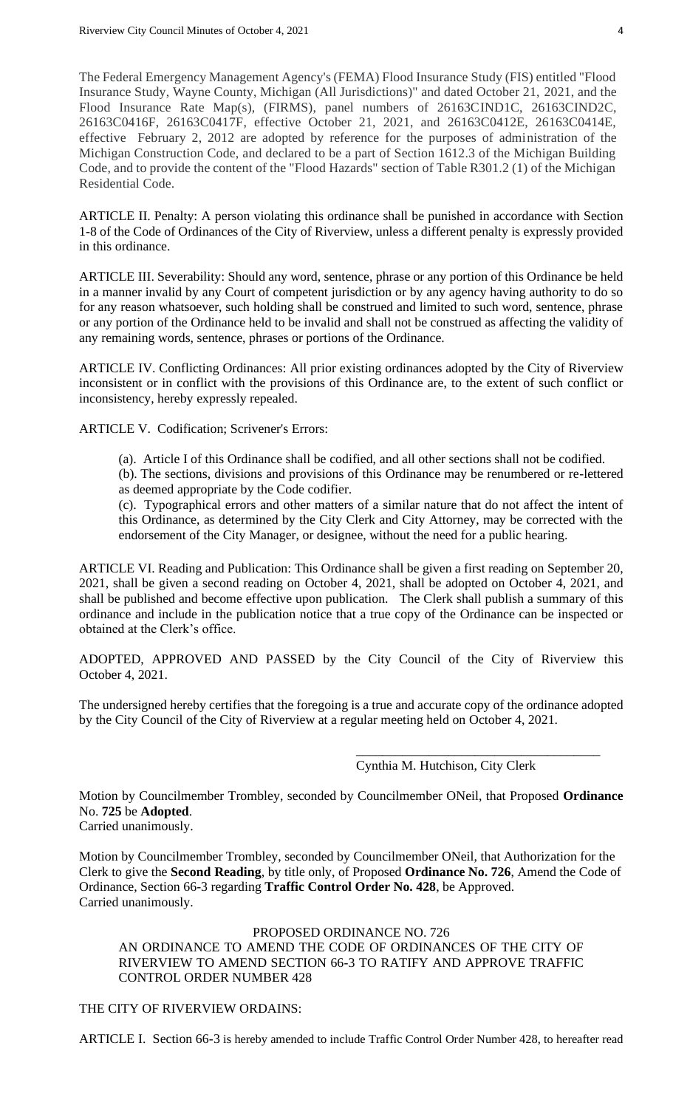The Federal Emergency Management Agency's (FEMA) Flood Insurance Study (FIS) entitled "Flood Insurance Study, Wayne County, Michigan (All Jurisdictions)" and dated October 21, 2021, and the Flood Insurance Rate Map(s), (FIRMS), panel numbers of 26163CIND1C, 26163CIND2C, 26163C0416F, 26163C0417F, effective October 21, 2021, and 26163C0412E, 26163C0414E, effective February 2, 2012 are adopted by reference for the purposes of administration of the Michigan Construction Code, and declared to be a part of Section 1612.3 of the Michigan Building Code, and to provide the content of the "Flood Hazards" section of Table R301.2 (1) of the Michigan Residential Code.

ARTICLE II. Penalty: A person violating this ordinance shall be punished in accordance with Section 1-8 of the Code of Ordinances of the City of Riverview, unless a different penalty is expressly provided in this ordinance.

ARTICLE III. Severability: Should any word, sentence, phrase or any portion of this Ordinance be held in a manner invalid by any Court of competent jurisdiction or by any agency having authority to do so for any reason whatsoever, such holding shall be construed and limited to such word, sentence, phrase or any portion of the Ordinance held to be invalid and shall not be construed as affecting the validity of any remaining words, sentence, phrases or portions of the Ordinance.

ARTICLE IV. Conflicting Ordinances: All prior existing ordinances adopted by the City of Riverview inconsistent or in conflict with the provisions of this Ordinance are, to the extent of such conflict or inconsistency, hereby expressly repealed.

ARTICLE V. Codification; Scrivener's Errors:

(a). Article I of this Ordinance shall be codified, and all other sections shall not be codified.

(b). The sections, divisions and provisions of this Ordinance may be renumbered or re-lettered as deemed appropriate by the Code codifier.

(c). Typographical errors and other matters of a similar nature that do not affect the intent of this Ordinance, as determined by the City Clerk and City Attorney, may be corrected with the endorsement of the City Manager, or designee, without the need for a public hearing.

ARTICLE VI. Reading and Publication: This Ordinance shall be given a first reading on September 20, 2021, shall be given a second reading on October 4, 2021, shall be adopted on October 4, 2021, and shall be published and become effective upon publication. The Clerk shall publish a summary of this ordinance and include in the publication notice that a true copy of the Ordinance can be inspected or obtained at the Clerk's office.

ADOPTED, APPROVED AND PASSED by the City Council of the City of Riverview this October 4, 2021.

The undersigned hereby certifies that the foregoing is a true and accurate copy of the ordinance adopted by the City Council of the City of Riverview at a regular meeting held on October 4, 2021.

> \_\_\_\_\_\_\_\_\_\_\_\_\_\_\_\_\_\_\_\_\_\_\_\_\_\_\_\_\_\_\_\_\_\_\_\_\_ Cynthia M. Hutchison, City Clerk

Motion by Councilmember Trombley, seconded by Councilmember ONeil, that Proposed **Ordinance** No. **725** be **Adopted**.

Carried unanimously.

Motion by Councilmember Trombley, seconded by Councilmember ONeil, that Authorization for the Clerk to give the **Second Reading**, by title only, of Proposed **Ordinance No. 726**, Amend the Code of Ordinance, Section 66-3 regarding **Traffic Control Order No. 428**, be Approved. Carried unanimously.

# PROPOSED ORDINANCE NO. 726

AN ORDINANCE TO AMEND THE CODE OF ORDINANCES OF THE CITY OF RIVERVIEW TO AMEND SECTION 66-3 TO RATIFY AND APPROVE TRAFFIC CONTROL ORDER NUMBER 428

# THE CITY OF RIVERVIEW ORDAINS:

ARTICLE I. Section 66-3 is hereby amended to include Traffic Control Order Number 428, to hereafter read